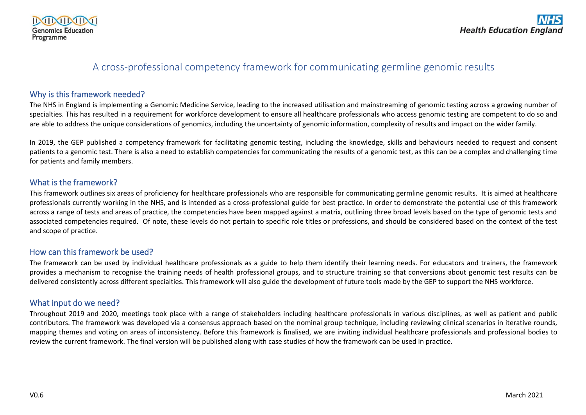

# A cross-professional competency framework for communicating germline genomic results

## Why is this framework needed?

The NHS in England is implementing a Genomic Medicine Service, leading to the increased utilisation and mainstreaming of genomic testing across a growing number of specialties. This has resulted in a requirement for workforce development to ensure all healthcare professionals who access genomic testing are competent to do so and are able to address the unique considerations of genomics, including the uncertainty of genomic information, complexity of results and impact on the wider family.

In 2019, the GEP published a competency framework for facilitating genomic testing, including the knowledge, skills and behaviours needed to request and consent patients to a genomic test. There is also a need to establish competencies for communicating the results of a genomic test, as this can be a complex and challenging time for patients and family members.

#### What is the framework?

This framework outlines six areas of proficiency for healthcare professionals who are responsible for communicating germline genomic results. It is aimed at healthcare professionals currently working in the NHS, and is intended as a cross-professional guide for best practice. In order to demonstrate the potential use of this framework across a range of tests and areas of practice, the competencies have been mapped against a matrix, outlining three broad levels based on the type of genomic tests and associated competencies required. Of note, these levels do not pertain to specific role titles or professions, and should be considered based on the context of the test and scope of practice.

# How can this framework be used?

The framework can be used by individual healthcare professionals as a guide to help them identify their learning needs. For educators and trainers, the framework provides a mechanism to recognise the training needs of health professional groups, and to structure training so that conversions about genomic test results can be delivered consistently across different specialties. This framework will also guide the development of future tools made by the GEP to support the NHS workforce.

# What input do we need?

Throughout 2019 and 2020, meetings took place with a range of stakeholders including healthcare professionals in various disciplines, as well as patient and public contributors. The framework was developed via a consensus approach based on the nominal group technique, including reviewing clinical scenarios in iterative rounds, mapping themes and voting on areas of inconsistency. Before this framework is finalised, we are inviting individual healthcare professionals and professional bodies to review the current framework. The final version will be published along with case studies of how the framework can be used in practice.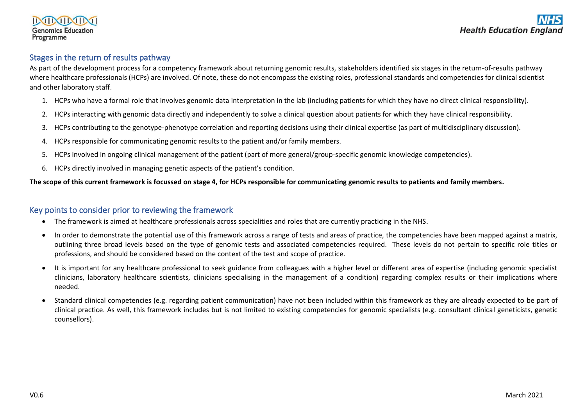# Stages in the return of results pathway

As part of the development process for a competency framework about returning genomic results, stakeholders identified six stages in the return-of-results pathway where healthcare professionals (HCPs) are involved. Of note, these do not encompass the existing roles, professional standards and competencies for clinical scientist and other laboratory staff.

- 1. HCPs who have a formal role that involves genomic data interpretation in the lab (including patients for which they have no direct clinical responsibility).
- 2. HCPs interacting with genomic data directly and independently to solve a clinical question about patients for which they have clinical responsibility.
- 3. HCPs contributing to the genotype-phenotype correlation and reporting decisions using their clinical expertise (as part of multidisciplinary discussion).
- 4. HCPs responsible for communicating genomic results to the patient and/or family members.
- 5. HCPs involved in ongoing clinical management of the patient (part of more general/group-specific genomic knowledge competencies).
- 6. HCPs directly involved in managing genetic aspects of the patient's condition.

#### **The scope of this current framework is focussed on stage 4, for HCPs responsible for communicating genomic results to patients and family members.**

#### Key points to consider prior to reviewing the framework

- The framework is aimed at healthcare professionals across specialities and roles that are currently practicing in the NHS.
- In order to demonstrate the potential use of this framework across a range of tests and areas of practice, the competencies have been mapped against a matrix, outlining three broad levels based on the type of genomic tests and associated competencies required. These levels do not pertain to specific role titles or professions, and should be considered based on the context of the test and scope of practice.
- It is important for any healthcare professional to seek guidance from colleagues with a higher level or different area of expertise (including genomic specialist clinicians, laboratory healthcare scientists, clinicians specialising in the management of a condition) regarding complex results or their implications where needed.
- Standard clinical competencies (e.g. regarding patient communication) have not been included within this framework as they are already expected to be part of clinical practice. As well, this framework includes but is not limited to existing competencies for genomic specialists (e.g. consultant clinical geneticists, genetic counsellors).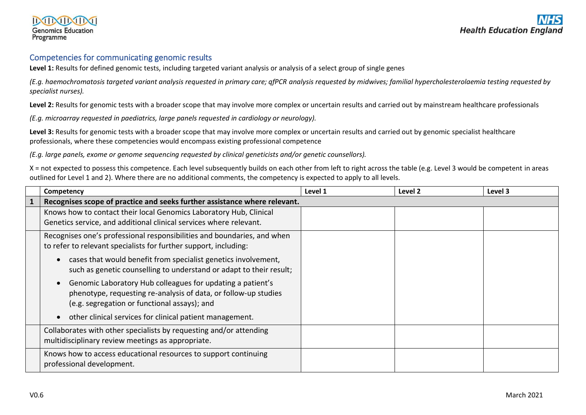#### Competencies for communicating genomic results

**Level 1:** Results for defined genomic tests, including targeted variant analysis or analysis of a select group of single genes

*(E.g. haemochromatosis targeted variant analysis requested in primary care; qfPCR analysis requested by midwives; familial hypercholesterolaemia testing requested by specialist nurses).*

Level 2: Results for genomic tests with a broader scope that may involve more complex or uncertain results and carried out by mainstream healthcare professionals

*(E.g. microarray requested in paediatrics, large panels requested in cardiology or neurology).*

**Level 3:** Results for genomic tests with a broader scope that may involve more complex or uncertain results and carried out by genomic specialist healthcare professionals, where these competencies would encompass existing professional competence

*(E.g. large panels, exome or genome sequencing requested by clinical geneticists and/or genetic counsellors).*

X = not expected to possess this competence. Each level subsequently builds on each other from left to right across the table (e.g. Level 3 would be competent in areas outlined for Level 1 and 2). Where there are no additional comments, the competency is expected to apply to all levels.

| Competency                                                                                                                                                                    | Level 1 | Level 2 | Level 3 |
|-------------------------------------------------------------------------------------------------------------------------------------------------------------------------------|---------|---------|---------|
| Recognises scope of practice and seeks further assistance where relevant.                                                                                                     |         |         |         |
| Knows how to contact their local Genomics Laboratory Hub, Clinical<br>Genetics service, and additional clinical services where relevant.                                      |         |         |         |
| Recognises one's professional responsibilities and boundaries, and when<br>to refer to relevant specialists for further support, including:                                   |         |         |         |
| cases that would benefit from specialist genetics involvement,<br>such as genetic counselling to understand or adapt to their result;                                         |         |         |         |
| Genomic Laboratory Hub colleagues for updating a patient's<br>phenotype, requesting re-analysis of data, or follow-up studies<br>(e.g. segregation or functional assays); and |         |         |         |
| other clinical services for clinical patient management.                                                                                                                      |         |         |         |
| Collaborates with other specialists by requesting and/or attending<br>multidisciplinary review meetings as appropriate.                                                       |         |         |         |
| Knows how to access educational resources to support continuing<br>professional development.                                                                                  |         |         |         |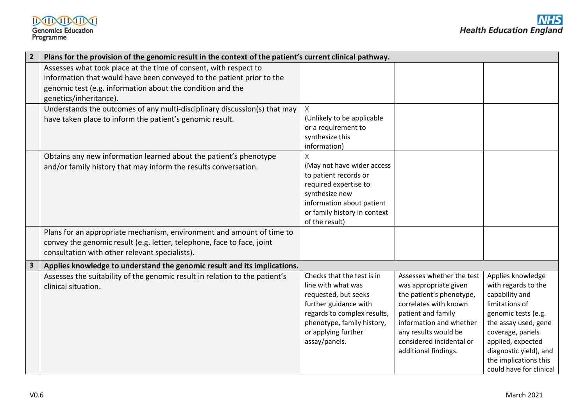|                         | Plans for the provision of the genomic result in the context of the patient's current clinical pathway.                                                                                                                           |                                                                                                                                                                                                        |                                                                                                                                                                                                                                      |                                                                                                                                                                                                                                                    |
|-------------------------|-----------------------------------------------------------------------------------------------------------------------------------------------------------------------------------------------------------------------------------|--------------------------------------------------------------------------------------------------------------------------------------------------------------------------------------------------------|--------------------------------------------------------------------------------------------------------------------------------------------------------------------------------------------------------------------------------------|----------------------------------------------------------------------------------------------------------------------------------------------------------------------------------------------------------------------------------------------------|
|                         | Assesses what took place at the time of consent, with respect to<br>information that would have been conveyed to the patient prior to the<br>genomic test (e.g. information about the condition and the<br>genetics/inheritance). |                                                                                                                                                                                                        |                                                                                                                                                                                                                                      |                                                                                                                                                                                                                                                    |
|                         | Understands the outcomes of any multi-disciplinary discussion(s) that may<br>have taken place to inform the patient's genomic result.                                                                                             | (Unlikely to be applicable<br>or a requirement to<br>synthesize this<br>information)                                                                                                                   |                                                                                                                                                                                                                                      |                                                                                                                                                                                                                                                    |
|                         | Obtains any new information learned about the patient's phenotype<br>and/or family history that may inform the results conversation.                                                                                              | X<br>(May not have wider access<br>to patient records or<br>required expertise to<br>synthesize new<br>information about patient<br>or family history in context<br>of the result)                     |                                                                                                                                                                                                                                      |                                                                                                                                                                                                                                                    |
|                         | Plans for an appropriate mechanism, environment and amount of time to<br>convey the genomic result (e.g. letter, telephone, face to face, joint<br>consultation with other relevant specialists).                                 |                                                                                                                                                                                                        |                                                                                                                                                                                                                                      |                                                                                                                                                                                                                                                    |
| $\overline{\mathbf{3}}$ | Applies knowledge to understand the genomic result and its implications.                                                                                                                                                          |                                                                                                                                                                                                        |                                                                                                                                                                                                                                      |                                                                                                                                                                                                                                                    |
|                         | Assesses the suitability of the genomic result in relation to the patient's<br>clinical situation.                                                                                                                                | Checks that the test is in<br>line with what was<br>requested, but seeks<br>further guidance with<br>regards to complex results,<br>phenotype, family history,<br>or applying further<br>assay/panels. | Assesses whether the test<br>was appropriate given<br>the patient's phenotype,<br>correlates with known<br>patient and family<br>information and whether<br>any results would be<br>considered incidental or<br>additional findings. | Applies knowledge<br>with regards to the<br>capability and<br>limitations of<br>genomic tests (e.g.<br>the assay used, gene<br>coverage, panels<br>applied, expected<br>diagnostic yield), and<br>the implications this<br>could have for clinical |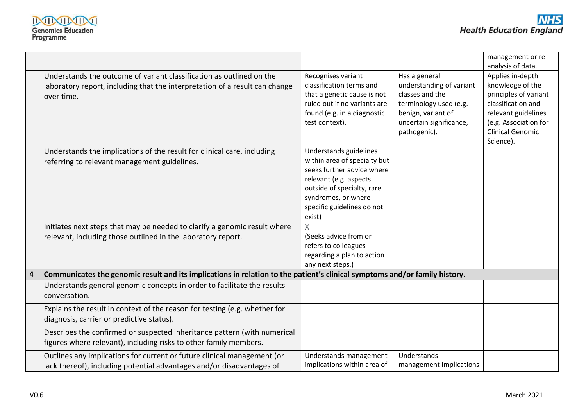|   |                                                                                                                            |                              |                          | management or re-       |
|---|----------------------------------------------------------------------------------------------------------------------------|------------------------------|--------------------------|-------------------------|
|   |                                                                                                                            |                              |                          | analysis of data.       |
|   | Understands the outcome of variant classification as outlined on the                                                       | Recognises variant           | Has a general            | Applies in-depth        |
|   | laboratory report, including that the interpretation of a result can change                                                | classification terms and     | understanding of variant | knowledge of the        |
|   | over time.                                                                                                                 | that a genetic cause is not  | classes and the          | principles of variant   |
|   |                                                                                                                            | ruled out if no variants are | terminology used (e.g.   | classification and      |
|   |                                                                                                                            | found (e.g. in a diagnostic  | benign, variant of       | relevant guidelines     |
|   |                                                                                                                            | test context).               | uncertain significance,  | (e.g. Association for   |
|   |                                                                                                                            |                              | pathogenic).             | <b>Clinical Genomic</b> |
|   |                                                                                                                            |                              |                          | Science).               |
|   | Understands the implications of the result for clinical care, including                                                    | Understands guidelines       |                          |                         |
|   | referring to relevant management guidelines.                                                                               | within area of specialty but |                          |                         |
|   |                                                                                                                            | seeks further advice where   |                          |                         |
|   |                                                                                                                            | relevant (e.g. aspects       |                          |                         |
|   |                                                                                                                            | outside of specialty, rare   |                          |                         |
|   |                                                                                                                            | syndromes, or where          |                          |                         |
|   |                                                                                                                            | specific guidelines do not   |                          |                         |
|   |                                                                                                                            | exist)                       |                          |                         |
|   | Initiates next steps that may be needed to clarify a genomic result where                                                  | X                            |                          |                         |
|   | relevant, including those outlined in the laboratory report.                                                               | (Seeks advice from or        |                          |                         |
|   |                                                                                                                            | refers to colleagues         |                          |                         |
|   |                                                                                                                            | regarding a plan to action   |                          |                         |
|   |                                                                                                                            | any next steps.)             |                          |                         |
| 4 | Communicates the genomic result and its implications in relation to the patient's clinical symptoms and/or family history. |                              |                          |                         |
|   | Understands general genomic concepts in order to facilitate the results                                                    |                              |                          |                         |
|   | conversation.                                                                                                              |                              |                          |                         |
|   | Explains the result in context of the reason for testing (e.g. whether for                                                 |                              |                          |                         |
|   | diagnosis, carrier or predictive status).                                                                                  |                              |                          |                         |
|   | Describes the confirmed or suspected inheritance pattern (with numerical                                                   |                              |                          |                         |
|   |                                                                                                                            |                              |                          |                         |
|   | figures where relevant), including risks to other family members.                                                          |                              |                          |                         |
|   | Outlines any implications for current or future clinical management (or                                                    | Understands management       | <b>Understands</b>       |                         |
|   | lack thereof), including potential advantages and/or disadvantages of                                                      | implications within area of  | management implications  |                         |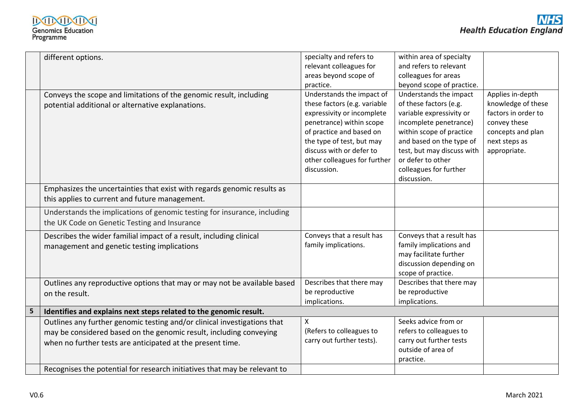|   | different options.                                                        | specialty and refers to      | within area of specialty   |                     |
|---|---------------------------------------------------------------------------|------------------------------|----------------------------|---------------------|
|   |                                                                           | relevant colleagues for      | and refers to relevant     |                     |
|   |                                                                           | areas beyond scope of        | colleagues for areas       |                     |
|   |                                                                           | practice.                    | beyond scope of practice.  |                     |
|   | Conveys the scope and limitations of the genomic result, including        | Understands the impact of    | Understands the impact     | Applies in-depth    |
|   | potential additional or alternative explanations.                         | these factors (e.g. variable | of these factors (e.g.     | knowledge of these  |
|   |                                                                           | expressivity or incomplete   | variable expressivity or   | factors in order to |
|   |                                                                           | penetrance) within scope     | incomplete penetrance)     | convey these        |
|   |                                                                           | of practice and based on     | within scope of practice   | concepts and plan   |
|   |                                                                           | the type of test, but may    | and based on the type of   | next steps as       |
|   |                                                                           | discuss with or defer to     | test, but may discuss with | appropriate.        |
|   |                                                                           | other colleagues for further | or defer to other          |                     |
|   |                                                                           | discussion.                  | colleagues for further     |                     |
|   |                                                                           |                              | discussion.                |                     |
|   | Emphasizes the uncertainties that exist with regards genomic results as   |                              |                            |                     |
|   | this applies to current and future management.                            |                              |                            |                     |
|   | Understands the implications of genomic testing for insurance, including  |                              |                            |                     |
|   | the UK Code on Genetic Testing and Insurance                              |                              |                            |                     |
|   |                                                                           |                              |                            |                     |
|   | Describes the wider familial impact of a result, including clinical       | Conveys that a result has    | Conveys that a result has  |                     |
|   | management and genetic testing implications                               | family implications.         | family implications and    |                     |
|   |                                                                           |                              | may facilitate further     |                     |
|   |                                                                           |                              | discussion depending on    |                     |
|   |                                                                           |                              | scope of practice.         |                     |
|   | Outlines any reproductive options that may or may not be available based  | Describes that there may     | Describes that there may   |                     |
|   | on the result.                                                            | be reproductive              | be reproductive            |                     |
|   |                                                                           | implications.                | implications.              |                     |
| 5 | Identifies and explains next steps related to the genomic result.         |                              |                            |                     |
|   | Outlines any further genomic testing and/or clinical investigations that  | $\pmb{\mathsf{X}}$           | Seeks advice from or       |                     |
|   | may be considered based on the genomic result, including conveying        | (Refers to colleagues to     | refers to colleagues to    |                     |
|   | when no further tests are anticipated at the present time.                | carry out further tests).    | carry out further tests    |                     |
|   |                                                                           |                              | outside of area of         |                     |
|   |                                                                           |                              | practice.                  |                     |
|   | Recognises the potential for research initiatives that may be relevant to |                              |                            |                     |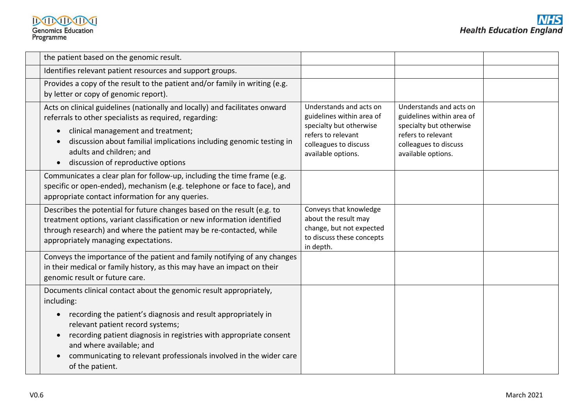| the patient based on the genomic result.                                                                                                                                                                                                                                                                                                                                                                                |                                                                                                                                                      |                                                                                                                                                      |  |
|-------------------------------------------------------------------------------------------------------------------------------------------------------------------------------------------------------------------------------------------------------------------------------------------------------------------------------------------------------------------------------------------------------------------------|------------------------------------------------------------------------------------------------------------------------------------------------------|------------------------------------------------------------------------------------------------------------------------------------------------------|--|
| Identifies relevant patient resources and support groups.                                                                                                                                                                                                                                                                                                                                                               |                                                                                                                                                      |                                                                                                                                                      |  |
| Provides a copy of the result to the patient and/or family in writing (e.g.<br>by letter or copy of genomic report).                                                                                                                                                                                                                                                                                                    |                                                                                                                                                      |                                                                                                                                                      |  |
| Acts on clinical guidelines (nationally and locally) and facilitates onward<br>referrals to other specialists as required, regarding:<br>clinical management and treatment;<br>$\bullet$<br>discussion about familial implications including genomic testing in<br>adults and children; and<br>discussion of reproductive options                                                                                       | Understands and acts on<br>guidelines within area of<br>specialty but otherwise<br>refers to relevant<br>colleagues to discuss<br>available options. | Understands and acts on<br>guidelines within area of<br>specialty but otherwise<br>refers to relevant<br>colleagues to discuss<br>available options. |  |
| Communicates a clear plan for follow-up, including the time frame (e.g.<br>specific or open-ended), mechanism (e.g. telephone or face to face), and<br>appropriate contact information for any queries.                                                                                                                                                                                                                 |                                                                                                                                                      |                                                                                                                                                      |  |
| Describes the potential for future changes based on the result (e.g. to<br>treatment options, variant classification or new information identified<br>through research) and where the patient may be re-contacted, while<br>appropriately managing expectations.                                                                                                                                                        | Conveys that knowledge<br>about the result may<br>change, but not expected<br>to discuss these concepts<br>in depth.                                 |                                                                                                                                                      |  |
| Conveys the importance of the patient and family notifying of any changes<br>in their medical or family history, as this may have an impact on their<br>genomic result or future care.                                                                                                                                                                                                                                  |                                                                                                                                                      |                                                                                                                                                      |  |
| Documents clinical contact about the genomic result appropriately,<br>including:<br>recording the patient's diagnosis and result appropriately in<br>$\bullet$<br>relevant patient record systems;<br>recording patient diagnosis in registries with appropriate consent<br>$\bullet$<br>and where available; and<br>communicating to relevant professionals involved in the wider care<br>$\bullet$<br>of the patient. |                                                                                                                                                      |                                                                                                                                                      |  |